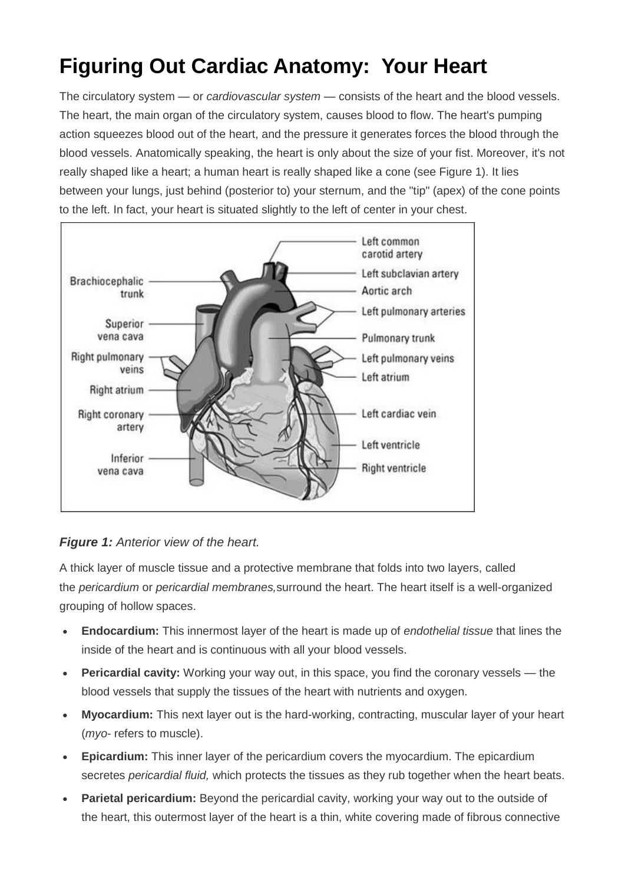## **Figuring Out Cardiac Anatomy: Your Heart**

The circulatory system — or *cardiovascular system* — consists of the heart and the blood vessels. The heart, the main organ of the circulatory system, causes blood to flow. The heart's pumping action squeezes blood out of the heart, and the pressure it generates forces the blood through the blood vessels. Anatomically speaking, the heart is only about the size of your fist. Moreover, it's not really shaped like a heart; a human heart is really shaped like a cone (see Figure 1). It lies between your lungs, just behind (posterior to) your sternum, and the "tip" (apex) of the cone points to the left. In fact, your heart is situated slightly to the left of center in your chest.



## *Figure 1: Anterior view of the heart.*

A thick layer of muscle tissue and a protective membrane that folds into two layers, called the *pericardium* or *pericardial membranes,*surround the heart. The heart itself is a well-organized grouping of hollow spaces.

- **Endocardium:** This innermost layer of the heart is made up of *endothelial tissue* that lines the inside of the heart and is continuous with all your blood vessels.
- **Pericardial cavity:** Working your way out, in this space, you find the coronary vessels the blood vessels that supply the tissues of the heart with nutrients and oxygen.
- **Myocardium:** This next layer out is the hard-working, contracting, muscular layer of your heart (*myo-* refers to muscle).
- **Epicardium:** This inner layer of the pericardium covers the myocardium. The epicardium secretes *pericardial fluid,* which protects the tissues as they rub together when the heart beats.
- **Parietal pericardium:** Beyond the pericardial cavity, working your way out to the outside of the heart, this outermost layer of the heart is a thin, white covering made of fibrous connective